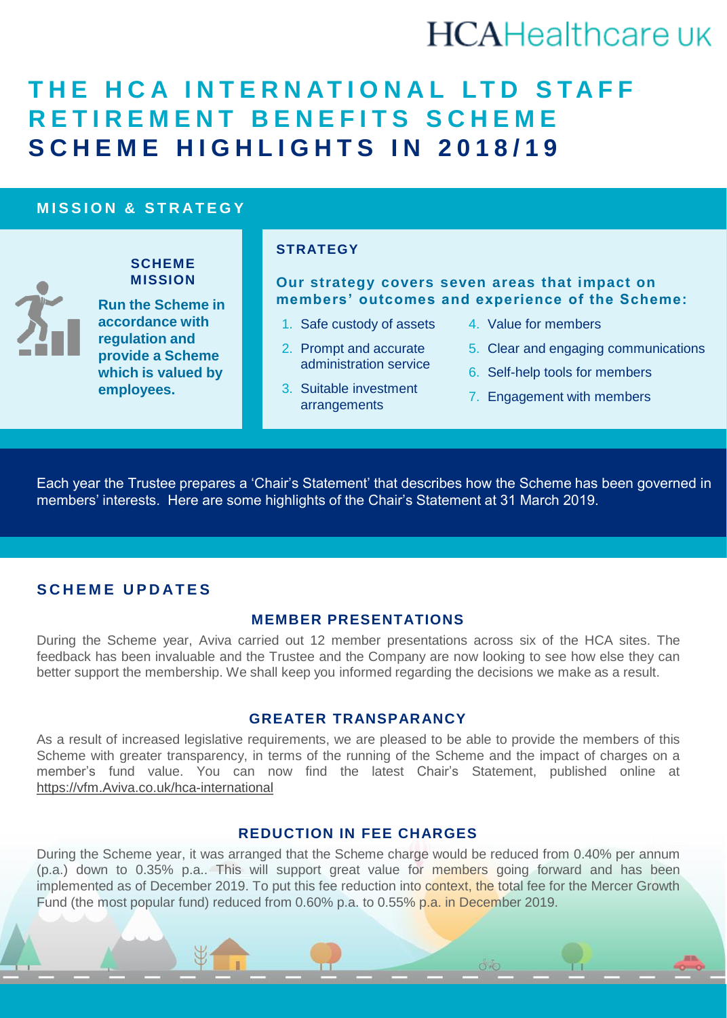# **HCAHealthcare UK**

## **THE HCA INTERNATIONAL LTD STAFF RETIREMENT BENEFITS SCHEME SCHEME HIGHLIGHTS IN 2018/19**

### **MISSION & STRATEGY**

#### **SCHEME MISSION**

**Run the Scheme in accordance with regulation and provide a Scheme which is valued by employees.** 

#### **STRATEGY**

**Our strategy covers seven areas that impact on members' outcomes and experience of the Scheme:** 

- 1. Safe custody of assets
- 2. Prompt and accurate administration service
- 3. Suitable investment arrangements
- 4. Value for members
- 5. Clear and engaging communications
- 6. Self-help tools for members
- 7. Engagement with members

Each year the Trustee prepares a 'Chair's Statement' that describes how the Scheme has been governed in members' interests. Here are some highlights of the Chair's Statement at 31 March 2019.

#### **S C H E M E U P D A T E S**

#### **MEMBER PRESENTATIONS**

During the Scheme year, Aviva carried out 12 member presentations across six of the HCA sites. The feedback has been invaluable and the Trustee and the Company are now looking to see how else they can better support the membership. We shall keep you informed regarding the decisions we make as a result.

#### **GREATER TRANSPARANCY**

As a result of increased legislative requirements, we are pleased to be able to provide the members of this Scheme with greater transparency, in terms of the running of the Scheme and the impact of charges on a member's fund value. You can now find the latest Chair's Statement, published online at [https://vfm.Aviva.co.uk/hca-international](https://vfm.aviva/co.uk/hca-international)

#### **REDUCTION IN FEE CHARGES**

During the Scheme year, it was arranged that the Scheme charge would be reduced from 0.40% per annum (p.a.) down to 0.35% p.a.. This will support great value for members going forward and has been implemented as of December 2019. To put this fee reduction into context, the total fee for the Mercer Growth Fund (the most popular fund) reduced from 0.60% p.a. to 0.55% p.a. in December 2019.